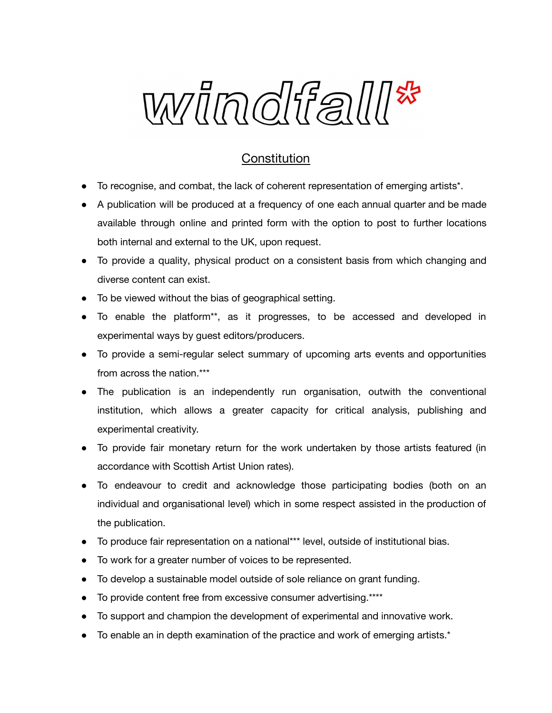

## **Constitution**

- To recognise, and combat, the lack of coherent representation of emerging artists\*.
- A publication will be produced at a frequency of one each annual quarter and be made available through online and printed form with the option to post to further locations both internal and external to the UK, upon request.
- To provide a quality, physical product on a consistent basis from which changing and diverse content can exist.
- To be viewed without the bias of geographical setting.
- To enable the platform\*\*, as it progresses, to be accessed and developed in experimental ways by guest editors/producers.
- To provide a semi-regular select summary of upcoming arts events and opportunities from across the nation.\*\*\*
- The publication is an independently run organisation, outwith the conventional institution, which allows a greater capacity for critical analysis, publishing and experimental creativity.
- To provide fair monetary return for the work undertaken by those artists featured (in accordance with Scottish Artist Union rates).
- To endeavour to credit and acknowledge those participating bodies (both on an individual and organisational level) which in some respect assisted in the production of the publication.
- To produce fair representation on a national\*\*\* level, outside of institutional bias.
- To work for a greater number of voices to be represented.
- To develop a sustainable model outside of sole reliance on grant funding.
- To provide content free from excessive consumer advertising.\*\*\*\*
- To support and champion the development of experimental and innovative work.
- To enable an in depth examination of the practice and work of emerging artists.\*